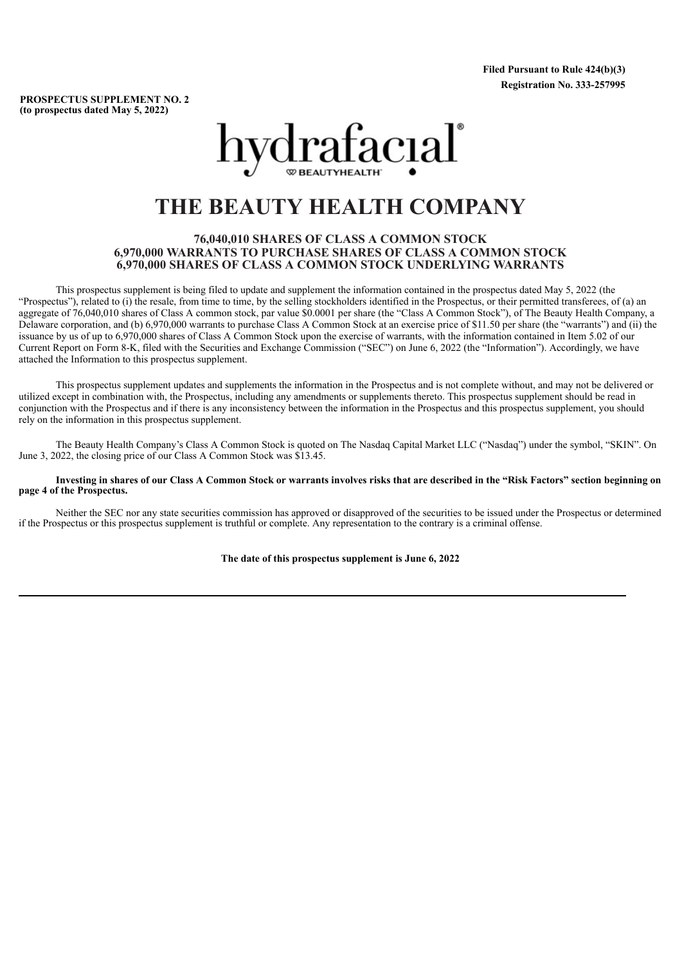**Filed Pursuant to Rule 424(b)(3) Registration No. 333-257995**

**PROSPECTUS SUPPLEMENT NO. 2 (to prospectus dated May 5, 2022)**



# **THE BEAUTY HEALTH COMPANY**

## **76,040,010 SHARES OF CLASS A COMMON STOCK 6,970,000 WARRANTS TO PURCHASE SHARES OF CLASS A COMMON STOCK 6,970,000 SHARES OF CLASS A COMMON STOCK UNDERLYING WARRANTS**

This prospectus supplement is being filed to update and supplement the information contained in the prospectus dated May 5, 2022 (the "Prospectus"), related to (i) the resale, from time to time, by the selling stockholders identified in the Prospectus, or their permitted transferees, of (a) an aggregate of 76,040,010 shares of Class A common stock, par value \$0.0001 per share (the "Class A Common Stock"), of The Beauty Health Company, a Delaware corporation, and (b) 6,970,000 warrants to purchase Class A Common Stock at an exercise price of \$11.50 per share (the "warrants") and (ii) the issuance by us of up to 6,970,000 shares of Class A Common Stock upon the exercise of warrants, with the information contained in Item 5.02 of our Current Report on Form 8-K, filed with the Securities and Exchange Commission ("SEC") on June 6, 2022 (the "Information"). Accordingly, we have attached the Information to this prospectus supplement.

This prospectus supplement updates and supplements the information in the Prospectus and is not complete without, and may not be delivered or utilized except in combination with, the Prospectus, including any amendments or supplements thereto. This prospectus supplement should be read in conjunction with the Prospectus and if there is any inconsistency between the information in the Prospectus and this prospectus supplement, you should rely on the information in this prospectus supplement.

The Beauty Health Company's Class A Common Stock is quoted on The Nasdaq Capital Market LLC ("Nasdaq") under the symbol, "SKIN". On June 3, 2022, the closing price of our Class A Common Stock was \$13.45.

#### Investing in shares of our Class A Common Stock or warrants involves risks that are described in the "Risk Factors" section beginning on **page 4 of the Prospectus.**

Neither the SEC nor any state securities commission has approved or disapproved of the securities to be issued under the Prospectus or determined if the Prospectus or this prospectus supplement is truthful or complete. Any representation to the contrary is a criminal offense.

**The date of this prospectus supplement is June 6, 2022**